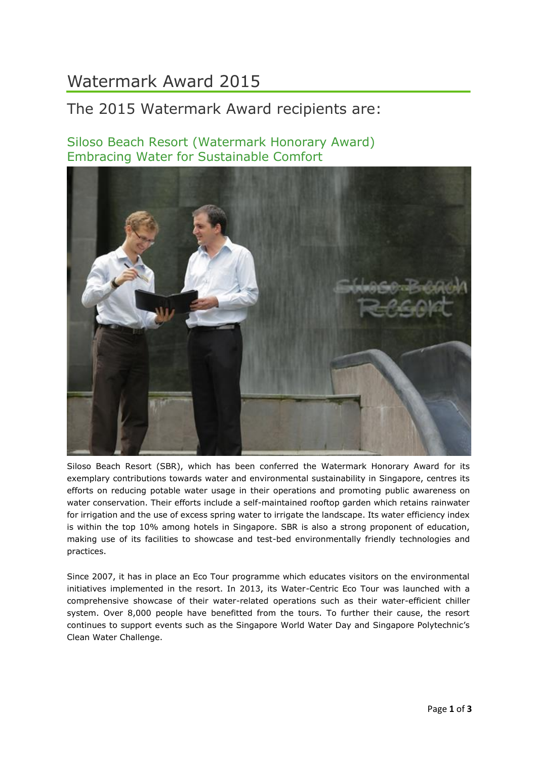## Watermark Award 2015

## The 2015 Watermark Award recipients are:

Siloso Beach Resort (Watermark Honorary Award) Embracing Water for Sustainable Comfort



Siloso Beach Resort (SBR), which has been conferred the Watermark Honorary Award for its exemplary contributions towards water and environmental sustainability in Singapore, centres its efforts on reducing potable water usage in their operations and promoting public awareness on water conservation. Their efforts include a self-maintained rooftop garden which retains rainwater for irrigation and the use of excess spring water to irrigate the landscape. Its water efficiency index is within the top 10% among hotels in Singapore. SBR is also a strong proponent of education, making use of its facilities to showcase and test-bed environmentally friendly technologies and practices.

Since 2007, it has in place an Eco Tour programme which educates visitors on the environmental initiatives implemented in the resort. In 2013, its Water-Centric Eco Tour was launched with a comprehensive showcase of their water-related operations such as their water-efficient chiller system. Over 8,000 people have benefitted from the tours. To further their cause, the resort continues to support events such as the Singapore World Water Day and Singapore Polytechnic's Clean Water Challenge.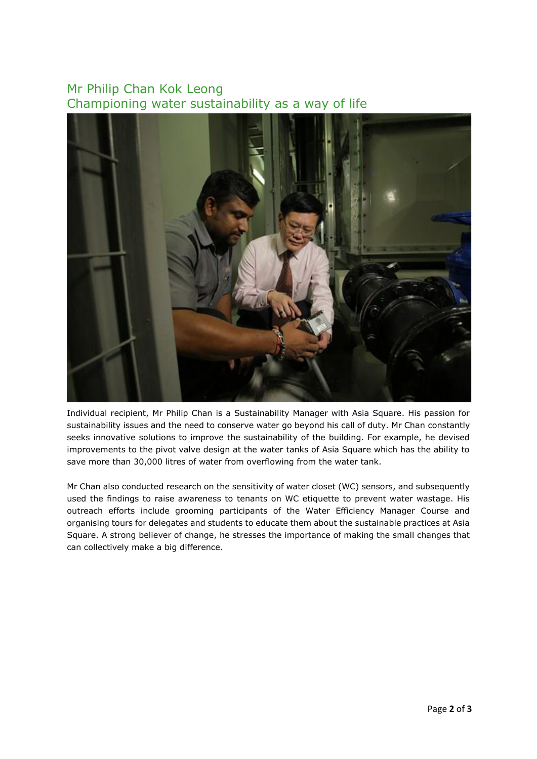## Mr Philip Chan Kok Leong Championing water sustainability as a way of life



Individual recipient, Mr Philip Chan is a Sustainability Manager with Asia Square. His passion for sustainability issues and the need to conserve water go beyond his call of duty. Mr Chan constantly seeks innovative solutions to improve the sustainability of the building. For example, he devised improvements to the pivot valve design at the water tanks of Asia Square which has the ability to save more than 30,000 litres of water from overflowing from the water tank.

Mr Chan also conducted research on the sensitivity of water closet (WC) sensors, and subsequently used the findings to raise awareness to tenants on WC etiquette to prevent water wastage. His outreach efforts include grooming participants of the Water Efficiency Manager Course and organising tours for delegates and students to educate them about the sustainable practices at Asia Square. A strong believer of change, he stresses the importance of making the small changes that can collectively make a big difference.